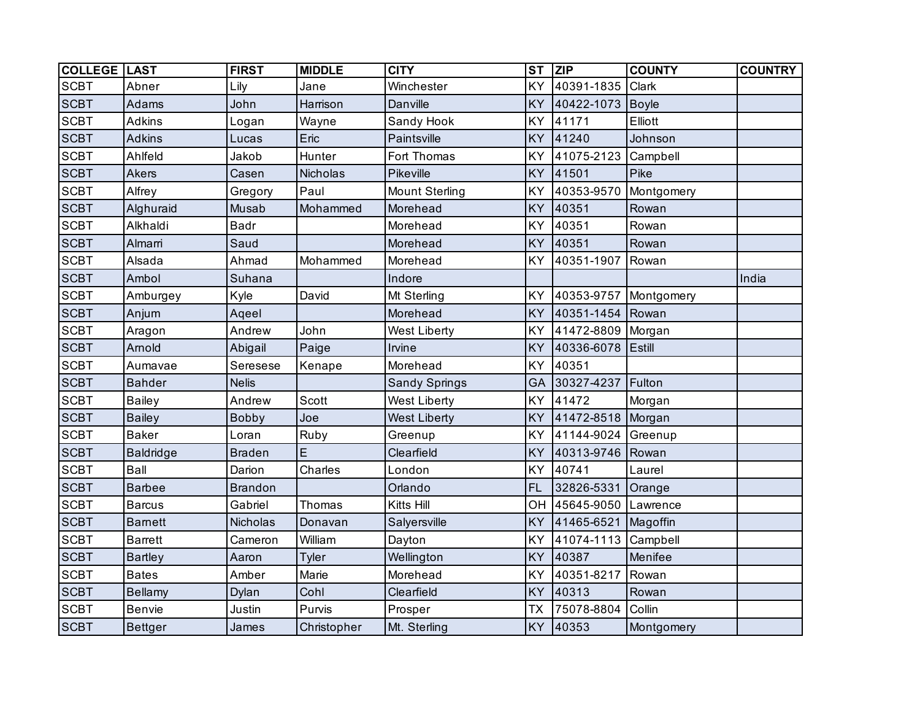| <b>COLLEGE LAST</b> |                  | <b>FIRST</b>   | <b>MIDDLE</b>   | <b>CITY</b>           | <b>ST</b> | <b>ZIP</b>        | <b>COUNTY</b> | <b>COUNTRY</b> |
|---------------------|------------------|----------------|-----------------|-----------------------|-----------|-------------------|---------------|----------------|
| <b>SCBT</b>         | Abner            | Lily           | Jane            | Winchester            | KY        | 40391-1835        | Clark         |                |
| <b>SCBT</b>         | Adams            | John           | Harrison        | Danville              | KY        | 40422-1073        | <b>Boyle</b>  |                |
| <b>SCBT</b>         | <b>Adkins</b>    | Logan          | Wayne           | Sandy Hook            | KY        | 41171             | Elliott       |                |
| <b>SCBT</b>         | <b>Adkins</b>    | Lucas          | Eric            | Paintsville           | KY        | 41240             | Johnson       |                |
| <b>SCBT</b>         | Ahlfeld          | Jakob          | Hunter          | Fort Thomas           | KY        | 41075-2123        | Campbell      |                |
| <b>SCBT</b>         | Akers            | Casen          | <b>Nicholas</b> | Pikeville             | KY        | 41501             | Pike          |                |
| <b>SCBT</b>         | Alfrey           | Gregory        | Paul            | <b>Mount Sterling</b> | KY        | 40353-9570        | Montgomery    |                |
| <b>SCBT</b>         | Alghuraid        | Musab          | Mohammed        | Morehead              | <b>KY</b> | 40351             | Rowan         |                |
| <b>SCBT</b>         | Alkhaldi         | <b>Badr</b>    |                 | Morehead              | KY        | 40351             | Rowan         |                |
| <b>SCBT</b>         | Almarri          | Saud           |                 | Morehead              | KY        | 40351             | Rowan         |                |
| <b>SCBT</b>         | Alsada           | Ahmad          | Mohammed        | Morehead              | <b>KY</b> | 40351-1907        | Rowan         |                |
| <b>SCBT</b>         | Ambol            | Suhana         |                 | Indore                |           |                   |               | India          |
| <b>SCBT</b>         | Amburgey         | Kyle           | David           | Mt Sterling           | <b>KY</b> | 40353-9757        | Montgomery    |                |
| <b>SCBT</b>         | Anjum            | Aqeel          |                 | Morehead              | KY        | 40351-1454        | Rowan         |                |
| <b>SCBT</b>         | Aragon           | Andrew         | John            | West Liberty          | KY        | 41472-8809 Morgan |               |                |
| <b>SCBT</b>         | Arnold           | Abigail        | Paige           | Irvine                | KY        | 40336-6078        | <b>Estill</b> |                |
| <b>SCBT</b>         | Aumavae          | Seresese       | Kenape          | Morehead              | KY        | 40351             |               |                |
| <b>SCBT</b>         | <b>Bahder</b>    | <b>Nelis</b>   |                 | <b>Sandy Springs</b>  | GA        | 30327-4237        | Fulton        |                |
| <b>SCBT</b>         | <b>Bailey</b>    | Andrew         | <b>Scott</b>    | West Liberty          | KY        | 41472             | Morgan        |                |
| <b>SCBT</b>         | <b>Bailey</b>    | <b>Bobby</b>   | Joe             | <b>West Liberty</b>   | KY        | 41472-8518        | Morgan        |                |
| <b>SCBT</b>         | <b>Baker</b>     | Loran          | Ruby            | Greenup               | KY        | 41144-9024        | Greenup       |                |
| <b>SCBT</b>         | <b>Baldridge</b> | <b>Braden</b>  | E               | Clearfield            | KY        | 40313-9746        | Rowan         |                |
| <b>SCBT</b>         | Ball             | Darion         | Charles         | London                | KY        | 40741             | Laurel        |                |
| <b>SCBT</b>         | <b>Barbee</b>    | <b>Brandon</b> |                 | Orlando               | <b>FL</b> | 32826-5331        | Orange        |                |
| <b>SCBT</b>         | <b>Barcus</b>    | Gabriel        | Thomas          | Kitts Hill            | OH        | 45645-9050        | Lawrence      |                |
| <b>SCBT</b>         | <b>Barnett</b>   | Nicholas       | Donavan         | Salyersville          | KY        | 41465-6521        | Magoffin      |                |
| <b>SCBT</b>         | <b>Barrett</b>   | Cameron        | William         | Dayton                | <b>KY</b> | 41074-1113        | Campbell      |                |
| <b>SCBT</b>         | <b>Bartley</b>   | Aaron          | <b>Tyler</b>    | Wellington            | <b>KY</b> | 40387             | Menifee       |                |
| <b>SCBT</b>         | <b>Bates</b>     | Amber          | Marie           | Morehead              | KY        | 40351-8217        | Rowan         |                |
| <b>SCBT</b>         | <b>Bellamy</b>   | Dylan          | Cohl            | Clearfield            | KY        | 40313             | Rowan         |                |
| <b>SCBT</b>         | Benvie           | Justin         | Purvis          | Prosper               | <b>TX</b> | 75078-8804        | Collin        |                |
| <b>SCBT</b>         | <b>Bettger</b>   | James          | Christopher     | Mt. Sterling          | KY        | 40353             | Montgomery    |                |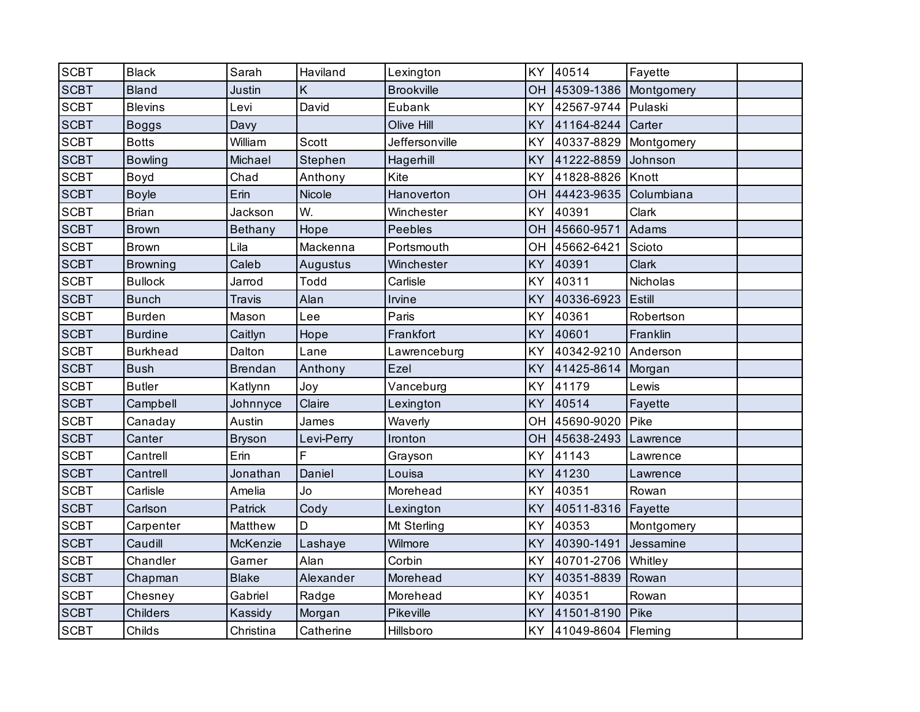| <b>SCBT</b> | <b>Black</b>    | Sarah          | Haviland      | Lexington         | KY        | 40514                 | Fayette    |  |
|-------------|-----------------|----------------|---------------|-------------------|-----------|-----------------------|------------|--|
| <b>SCBT</b> | <b>Bland</b>    | Justin         | Κ             | <b>Brookville</b> | OH        | 45309-1386 Montgomery |            |  |
| <b>SCBT</b> | <b>Blevins</b>  | Levi           | David         | Eubank            | KY        | 42567-9744            | Pulaski    |  |
| <b>SCBT</b> | <b>Boggs</b>    | Davy           |               | Olive Hill        | KY        | 41164-8244            | Carter     |  |
| <b>SCBT</b> | <b>Botts</b>    | William        | Scott         | Jeffersonville    | KY        | 40337-8829            | Montgomery |  |
| <b>SCBT</b> | <b>Bowling</b>  | Michael        | Stephen       | Hagerhill         | KY        | 41222-8859            | Johnson    |  |
| <b>SCBT</b> | Boyd            | Chad           | Anthony       | Kite              | KY        | 41828-8826            | Knott      |  |
| <b>SCBT</b> | <b>Boyle</b>    | Erin           | <b>Nicole</b> | Hanoverton        | OH        | 44423-9635            | Columbiana |  |
| <b>SCBT</b> | <b>Brian</b>    | Jackson        | W.            | Winchester        | KY        | 40391                 | Clark      |  |
| <b>SCBT</b> | <b>Brown</b>    | <b>Bethany</b> | Hope          | <b>Peebles</b>    | <b>OH</b> | 45660-9571            | Adams      |  |
| <b>SCBT</b> | <b>Brown</b>    | Lila           | Mackenna      | Portsmouth        | OH        | 45662-6421            | Scioto     |  |
| <b>SCBT</b> | <b>Browning</b> | Caleb          | Augustus      | Winchester        | KY        | 40391                 | Clark      |  |
| <b>SCBT</b> | <b>Bullock</b>  | Jarrod         | Todd          | Carlisle          | KY        | 40311                 | Nicholas   |  |
| <b>SCBT</b> | <b>Bunch</b>    | Travis         | Alan          | Irvine            | KY        | 40336-6923            | Estill     |  |
| <b>SCBT</b> | <b>Burden</b>   | Mason          | Lee           | Paris             | KY        | 40361                 | Robertson  |  |
| <b>SCBT</b> | <b>Burdine</b>  | Caitlyn        | Hope          | Frankfort         | KY        | 40601                 | Franklin   |  |
| <b>SCBT</b> | <b>Burkhead</b> | Dalton         | Lane          | Lawrenceburg      | KY        | 40342-9210            | Anderson   |  |
| <b>SCBT</b> | <b>Bush</b>     | <b>Brendan</b> | Anthony       | Ezel              | KY        | 41425-8614            | Morgan     |  |
| <b>SCBT</b> | <b>Butler</b>   | Katlynn        | Joy           | Vanceburg         | KY        | 41179                 | Lewis      |  |
| <b>SCBT</b> | Campbell        | Johnnyce       | Claire        | Lexington         | KY        | 40514                 | Fayette    |  |
| <b>SCBT</b> | Canaday         | Austin         | James         | Waverly           | OH        | 45690-9020            | Pike       |  |
| <b>SCBT</b> | Canter          | <b>Bryson</b>  | Levi-Perry    | Ironton           | OH        | 45638-2493            | Lawrence   |  |
| <b>SCBT</b> | Cantrell        | Erin           | F             | Grayson           | KY        | 41143                 | Lawrence   |  |
| <b>SCBT</b> | Cantrell        | Jonathan       | Daniel        | Louisa            | KY        | 41230                 | Lawrence   |  |
| <b>SCBT</b> | Carlisle        | Amelia         | Jo            | Morehead          | KY        | 40351                 | Rowan      |  |
| <b>SCBT</b> | Carlson         | Patrick        | Cody          | Lexington         | <b>KY</b> | 40511-8316            | Fayette    |  |
| <b>SCBT</b> | Carpenter       | Matthew        | D             | Mt Sterling       | KY        | 40353                 | Montgomery |  |
| <b>SCBT</b> | Caudill         | McKenzie       | Lashaye       | Wilmore           | KY        | 40390-1491            | Jessamine  |  |
| <b>SCBT</b> | Chandler        | Garner         | Alan          | Corbin            | KY        | 40701-2706 Whitley    |            |  |
| <b>SCBT</b> | Chapman         | <b>Blake</b>   | Alexander     | Morehead          | KY        | 40351-8839            | Rowan      |  |
| <b>SCBT</b> | Chesney         | Gabriel        | Radge         | Morehead          | KY        | 40351                 | Rowan      |  |
| <b>SCBT</b> | Childers        | Kassidy        | Morgan        | Pikeville         | KY        | 41501-8190            | Pike       |  |
| <b>SCBT</b> | Childs          | Christina      | Catherine     | Hillsboro         | KY        | 41049-8604 Fleming    |            |  |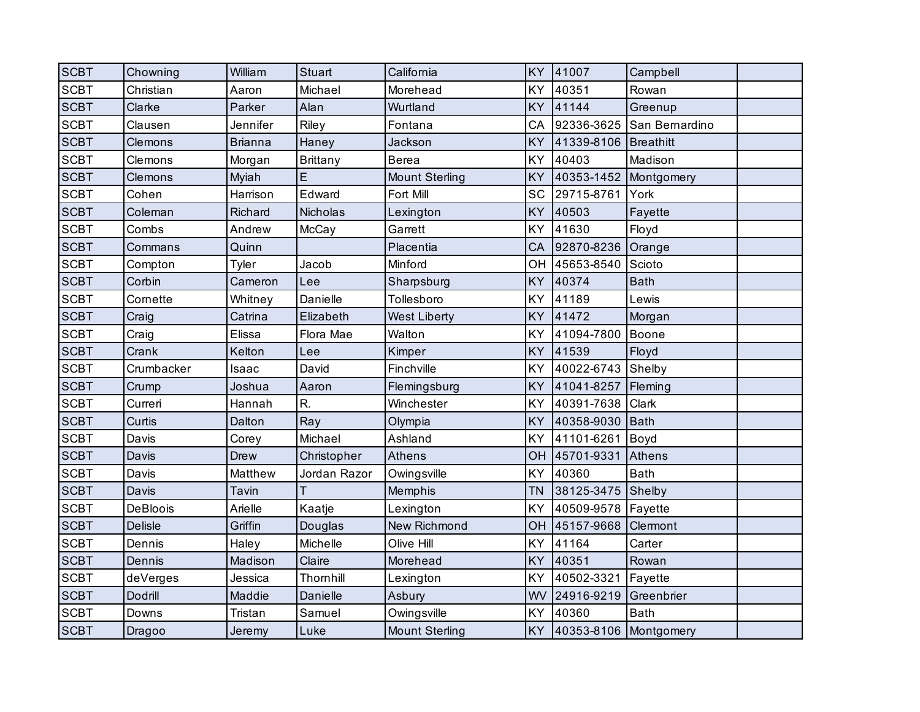| <b>SCBT</b> | Chowning       | William        | <b>Stuart</b>   | California            | KY        | 41007                 | Campbell       |  |
|-------------|----------------|----------------|-----------------|-----------------------|-----------|-----------------------|----------------|--|
| <b>SCBT</b> | Christian      | Aaron          | Michael         | Morehead              | KY        | 40351                 | Rowan          |  |
| <b>SCBT</b> | Clarke         | Parker         | Alan            | Wurtland              | KY        | 41144                 | Greenup        |  |
| <b>SCBT</b> | Clausen        | Jennifer       | Riley           | Fontana               | CA        | 92336-3625            | San Bernardino |  |
| <b>SCBT</b> | Clemons        | <b>Brianna</b> | Haney           | Jackson               | KY        | 41339-8106            | Breathitt      |  |
| <b>SCBT</b> | Clemons        | Morgan         | <b>Brittany</b> | <b>Berea</b>          | KY        | 40403                 | Madison        |  |
| <b>SCBT</b> | Clemons        | Myiah          | E               | <b>Mount Sterling</b> | KY        | 40353-1452 Montgomery |                |  |
| <b>SCBT</b> | Cohen          | Harrison       | Edward          | Fort Mill             | SC        | 29715-8761            | York           |  |
| <b>SCBT</b> | Coleman        | Richard        | Nicholas        | Lexington             | KY        | 40503                 | Fayette        |  |
| <b>SCBT</b> | Combs          | Andrew         | McCay           | Garrett               | KY        | 41630                 | Floyd          |  |
| <b>SCBT</b> | Commans        | Quinn          |                 | Placentia             | CA        | 92870-8236            | Orange         |  |
| <b>SCBT</b> | Compton        | Tyler          | Jacob           | Minford               | OH        | 45653-8540            | Scioto         |  |
| <b>SCBT</b> | Corbin         | Cameron        | Lee             | Sharpsburg            | KY        | 40374                 | <b>Bath</b>    |  |
| <b>SCBT</b> | Cornette       | Whitney        | Danielle        | Tollesboro            | KY        | 41189                 | Lewis          |  |
| <b>SCBT</b> | Craig          | Catrina        | Elizabeth       | <b>West Liberty</b>   | KY        | 41472                 | Morgan         |  |
| <b>SCBT</b> | Craig          | Elissa         | Flora Mae       | Walton                | KY        | 41094-7800            | Boone          |  |
| <b>SCBT</b> | Crank          | Kelton         | Lee             | Kimper                | KY        | 41539                 | Floyd          |  |
| <b>SCBT</b> | Crumbacker     | Isaac          | David           | Finchville            | KY        | 40022-6743            | Shelby         |  |
| <b>SCBT</b> | Crump          | Joshua         | Aaron           | Flemingsburg          | KY        | 41041-8257            | Fleming        |  |
| <b>SCBT</b> | Curreri        | Hannah         | R.              | Winchester            | KY        | 40391-7638            | Clark          |  |
| <b>SCBT</b> | Curtis         | Dalton         | Ray             | Olympia               | KY        | 40358-9030            | Bath           |  |
| <b>SCBT</b> | Davis          | Corey          | Michael         | Ashland               | KY        | 41101-6261            | Boyd           |  |
| <b>SCBT</b> | Davis          | <b>Drew</b>    | Christopher     | <b>Athens</b>         | OH        | 45701-9331            | Athens         |  |
| <b>SCBT</b> | Davis          | Matthew        | Jordan Razor    | Owingsville           | KY        | 40360                 | <b>Bath</b>    |  |
| <b>SCBT</b> | Davis          | Tavin          |                 | Memphis               | <b>TN</b> | 38125-3475 Shelby     |                |  |
| <b>SCBT</b> | DeBloois       | Arielle        | Kaatje          | Lexington             | KY        | 40509-9578   Fayette  |                |  |
| <b>SCBT</b> | <b>Delisle</b> | Griffin        | Douglas         | <b>New Richmond</b>   | OH        | 45157-9668            | Clermont       |  |
| <b>SCBT</b> | Dennis         | Haley          | Michelle        | Olive Hill            | KY        | 41164                 | Carter         |  |
| <b>SCBT</b> | Dennis         | Madison        | Claire          | Morehead              | KY        | 40351                 | Rowan          |  |
| <b>SCBT</b> | deVerges       | Jessica        | Thornhill       | Lexington             | KY        | 40502-3321            | Fayette        |  |
| <b>SCBT</b> | Dodrill        | Maddie         | Danielle        | Asbury                | WV        | 24916-9219            | Greenbrier     |  |
| <b>SCBT</b> | Downs          | Tristan        | Samuel          | Owingsville           | KY        | 40360                 | <b>Bath</b>    |  |
| <b>SCBT</b> | Dragoo         | Jeremy         | Luke            | <b>Mount Sterling</b> | <b>KY</b> | 40353-8106 Montgomery |                |  |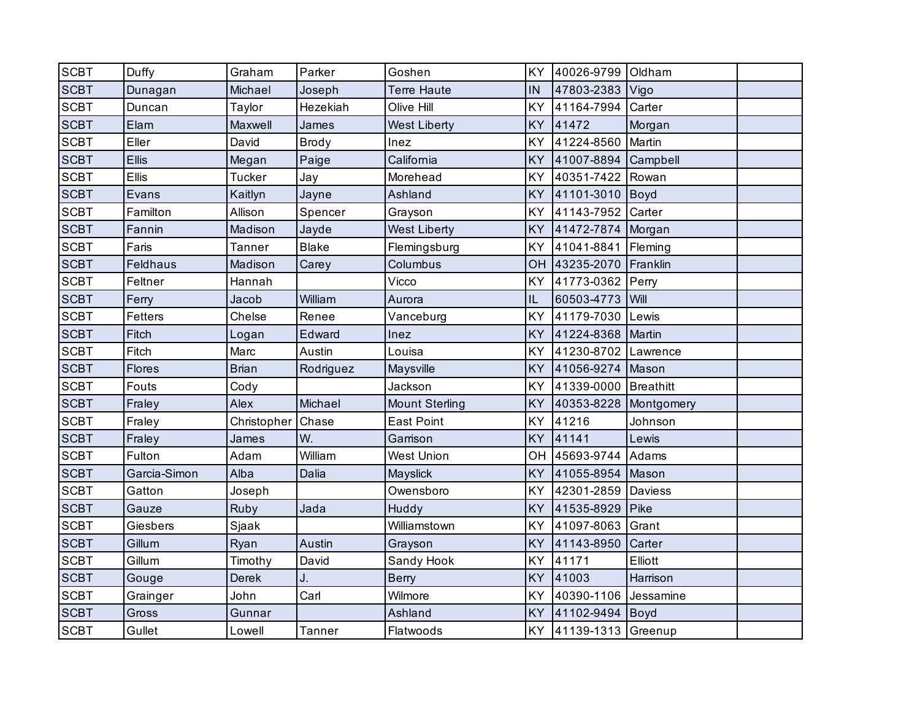| <b>SCBT</b> | Duffy           | Graham        | Parker        | Goshen                | KY        | 40026-9799 Oldham    |            |  |
|-------------|-----------------|---------------|---------------|-----------------------|-----------|----------------------|------------|--|
| <b>SCBT</b> | Dunagan         | Michael       | Joseph        | <b>Terre Haute</b>    | IN        | 47803-2383           | Vigo       |  |
| <b>SCBT</b> | Duncan          | Taylor        | Hezekiah      | Olive Hill            | KY        | 41164-7994           | Carter     |  |
| <b>SCBT</b> | Elam            | Maxwell       | James         | <b>West Liberty</b>   | KY        | 41472                | Morgan     |  |
| <b>SCBT</b> | Eller           | David         | Brody         | Inez                  | KY        | 41224-8560           | Martin     |  |
| <b>SCBT</b> | <b>Ellis</b>    | Megan         | Paige         | California            | KY        | 41007-8894 Campbell  |            |  |
| <b>SCBT</b> | <b>Ellis</b>    | <b>Tucker</b> | Jay           | Morehead              | KY        | 40351-7422 Rowan     |            |  |
| <b>SCBT</b> | Evans           | Kaitlyn       | Jayne         | Ashland               | KY        | 41101-3010           | Boyd       |  |
| <b>SCBT</b> | Familton        | Allison       | Spencer       | Grayson               | KY        | 41143-7952           | Carter     |  |
| <b>SCBT</b> | Fannin          | Madison       | Jayde         | <b>West Liberty</b>   | KY        | 41472-7874           | Morgan     |  |
| <b>SCBT</b> | Faris           | Tanner        | <b>Blake</b>  | Flemingsburg          | KY        | 41041-8841           | Fleming    |  |
| <b>SCBT</b> | <b>Feldhaus</b> | Madison       | Carey         | Columbus              | OH        | 43235-2070           | Franklin   |  |
| <b>SCBT</b> | Feltner         | Hannah        |               | Vicco                 | KY        | 41773-0362           | Perry      |  |
| <b>SCBT</b> | Ferry           | Jacob         | William       | Aurora                | IL        | 60503-4773           | Will       |  |
| <b>SCBT</b> | <b>Fetters</b>  | Chelse        | Renee         | Vanceburg             | KY        | 41179-7030           | Lewis      |  |
| <b>SCBT</b> | Fitch           | Logan         | Edward        | Inez                  | KY        | 41224-8368           | Martin     |  |
| <b>SCBT</b> | Fitch           | Marc          | Austin        | Louisa                | KY        | 41230-8702           | Lawrence   |  |
| <b>SCBT</b> | Flores          | <b>Brian</b>  | Rodriguez     | Maysville             | KY        | 41056-9274           | Mason      |  |
| <b>SCBT</b> | Fouts           | Cody          |               | Jackson               | KY        | 41339-0000 Breathitt |            |  |
| <b>SCBT</b> | Fraley          | Alex          | Michael       | <b>Mount Sterling</b> | KY        | 40353-8228           | Montgomery |  |
| <b>SCBT</b> | Fraley          | Christopher   | Chase         | <b>East Point</b>     | KY        | 41216                | Johnson    |  |
| <b>SCBT</b> | Fraley          | James         | W.            | Garrison              | <b>KY</b> | 41141                | Lewis      |  |
| <b>SCBT</b> | Fulton          | Adam          | William       | <b>West Union</b>     | OH        | 45693-9744 Adams     |            |  |
| <b>SCBT</b> | Garcia-Simon    | Alba          | Dalia         | Mayslick              | <b>KY</b> | 41055-8954           | Mason      |  |
| <b>SCBT</b> | Gatton          | Joseph        |               | Owensboro             | KY        | 42301-2859           | Daviess    |  |
| <b>SCBT</b> | Gauze           | Ruby          | Jada          | Huddy                 | KY        | 41535-8929           | Pike       |  |
| <b>SCBT</b> | Giesbers        | Sjaak         |               | Williamstown          | KY        | 41097-8063           | Grant      |  |
| <b>SCBT</b> | Gillum          | Ryan          | Austin        | Grayson               | KY        | 41143-8950           | Carter     |  |
| <b>SCBT</b> | Gillum          | Timothy       | David         | Sandy Hook            | KY        | 41171                | Elliott    |  |
| <b>SCBT</b> | Gouge           | Derek         | J.            | <b>Berry</b>          | KY        | 41003                | Harrison   |  |
| <b>SCBT</b> | Grainger        | John          | Carl          | Wilmore               | KY        | 40390-1106           | Jessamine  |  |
| <b>SCBT</b> | Gross           | Gunnar        |               | Ashland               | KY        | 41102-9494           | Boyd       |  |
| <b>SCBT</b> | Gullet          | Lowell        | <b>Tanner</b> | Flatwoods             | KY        | 41139-1313 Greenup   |            |  |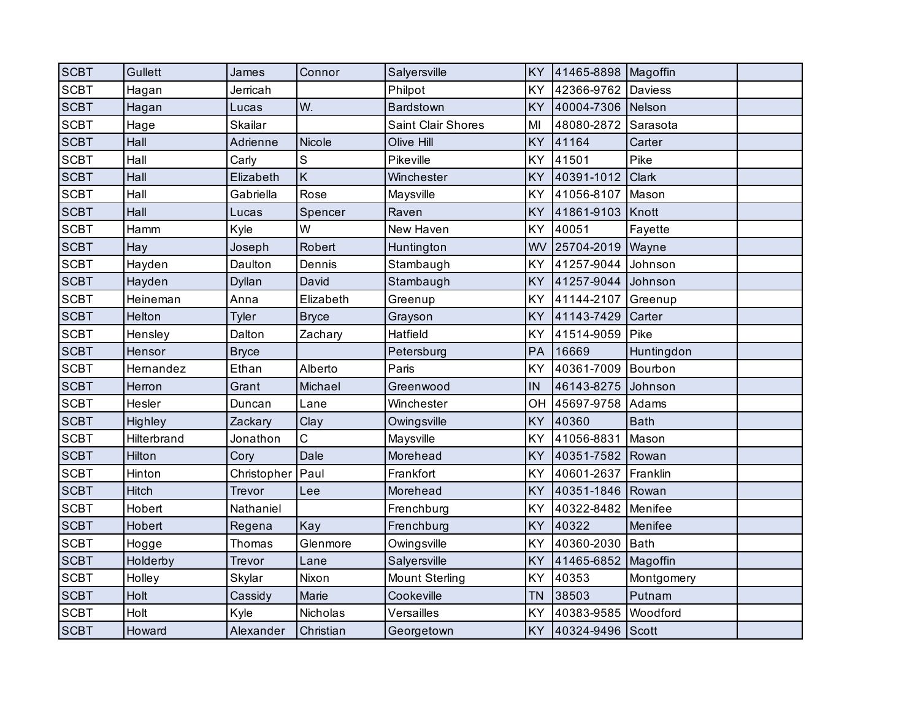| <b>SCBT</b> | Gullett     | James         | Connor        | Salyersville          | <b>KY</b> | 41465-8898 Magoffin |                |  |
|-------------|-------------|---------------|---------------|-----------------------|-----------|---------------------|----------------|--|
| <b>SCBT</b> | Hagan       | Jerricah      |               | Philpot               | KY        | 42366-9762          | <b>Daviess</b> |  |
| <b>SCBT</b> | Hagan       | Lucas         | W.            | Bardstown             | <b>KY</b> | 40004-7306 Nelson   |                |  |
| <b>SCBT</b> | Hage        | Skailar       |               | Saint Clair Shores    | MI        | 48080-2872          | Sarasota       |  |
| <b>SCBT</b> | Hall        | Adrienne      | <b>Nicole</b> | Olive Hill            | <b>KY</b> | 41164               | Carter         |  |
| <b>SCBT</b> | Hall        | Carly         | S             | Pikeville             | KY        | 41501               | Pike           |  |
| <b>SCBT</b> | Hall        | Elizabeth     | K             | Winchester            | <b>KY</b> | 40391-1012          | <b>Clark</b>   |  |
| <b>SCBT</b> | Hall        | Gabriella     | Rose          | Maysville             | KY        | 41056-8107          | Mason          |  |
| <b>SCBT</b> | Hall        | Lucas         | Spencer       | Raven                 | <b>KY</b> | 41861-9103          | Knott          |  |
| <b>SCBT</b> | Hamm        | Kyle          | W             | New Haven             | KY        | 40051               | Fayette        |  |
| <b>SCBT</b> | Hay         | Joseph        | Robert        | Huntington            | WV        | 25704-2019          | Wayne          |  |
| <b>SCBT</b> | Hayden      | Daulton       | Dennis        | Stambaugh             | KY        | 41257-9044          | Johnson        |  |
| <b>SCBT</b> | Hayden      | <b>Dyllan</b> | David         | Stambaugh             | KY        | 41257-9044          | Johnson        |  |
| <b>SCBT</b> | Heineman    | Anna          | Elizabeth     | Greenup               | KY        | 41144-2107          | Greenup        |  |
| <b>SCBT</b> | Helton      | <b>Tyler</b>  | <b>Bryce</b>  | Grayson               | KY        | 41143-7429          | Carter         |  |
| <b>SCBT</b> | Hensley     | Dalton        | Zachary       | Hatfield              | KY        | 41514-9059          | Pike           |  |
| <b>SCBT</b> | Hensor      | <b>Bryce</b>  |               | Petersburg            | PA        | 16669               | Huntingdon     |  |
| <b>SCBT</b> | Hernandez   | Ethan         | Alberto       | Paris                 | KY        | 40361-7009          | Bourbon        |  |
| <b>SCBT</b> | Herron      | Grant         | Michael       | Greenwood             | IN        | 46143-8275          | Johnson        |  |
| <b>SCBT</b> | Hesler      | Duncan        | Lane          | Winchester            | OH        | 45697-9758          | Adams          |  |
| <b>SCBT</b> | Highley     | Zackary       | Clay          | Owingsville           | KY        | 40360               | <b>Bath</b>    |  |
| <b>SCBT</b> | Hilterbrand | Jonathon      | C             | Maysville             | KY        | 41056-8831          | Mason          |  |
| <b>SCBT</b> | Hilton      | Cory          | Dale          | Morehead              | KY        | 40351-7582          | Rowan          |  |
| <b>SCBT</b> | Hinton      | Christopher   | Paul          | Frankfort             | KY        | 40601-2637          | Franklin       |  |
| <b>SCBT</b> | Hitch       | Trevor        | Lee           | Morehead              | KY        | 40351-1846 Rowan    |                |  |
| <b>SCBT</b> | Hobert      | Nathaniel     |               | Frenchburg            | KY        | 40322-8482          | Menifee        |  |
| <b>SCBT</b> | Hobert      | Regena        | Kay           | Frenchburg            | KY        | 40322               | Menifee        |  |
| <b>SCBT</b> | Hogge       | Thomas        | Glenmore      | Owingsville           | KY        | 40360-2030          | Bath           |  |
| <b>SCBT</b> | Holderby    | Trevor        | Lane          | Salyersville          | KY        | 41465-6852          | Magoffin       |  |
| <b>SCBT</b> | Holley      | Skylar        | Nixon         | <b>Mount Sterling</b> | KY        | 40353               | Montgomery     |  |
| <b>SCBT</b> | Holt        | Cassidy       | Marie         | Cookeville            | <b>TN</b> | 38503               | Putnam         |  |
| <b>SCBT</b> | Holt        | Kyle          | Nicholas      | Versailles            | KY        | 40383-9585          | Woodford       |  |
| <b>SCBT</b> | Howard      | Alexander     | Christian     | Georgetown            | KY        | 40324-9496 Scott    |                |  |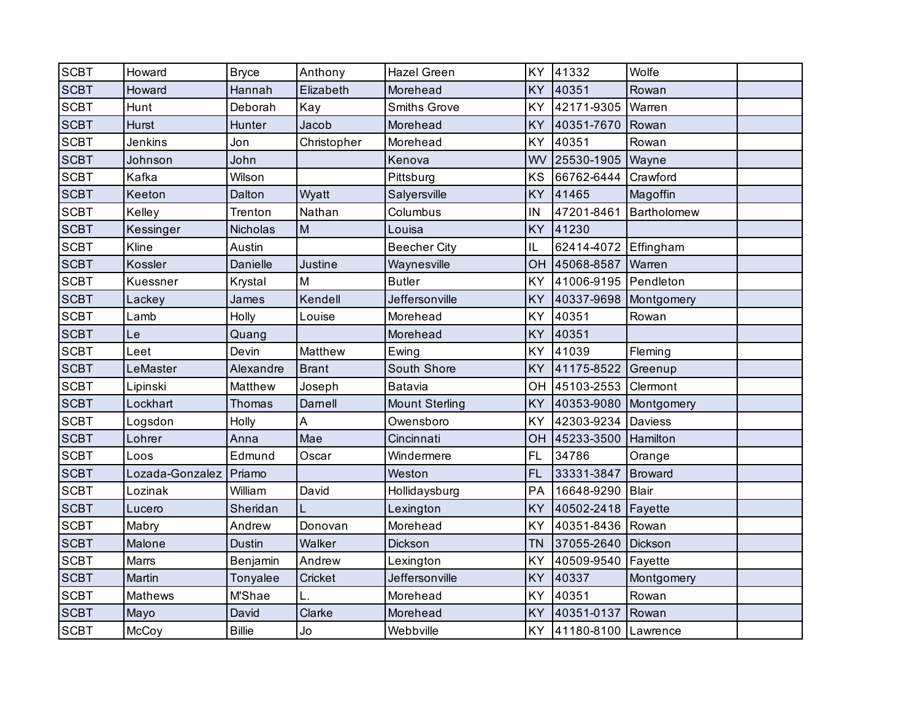| <b>SCBT</b> | Howard          | <b>Bryce</b>  | Anthony      | <b>Hazel Green</b>    | KY        | 41332                 | Wolfe          |  |
|-------------|-----------------|---------------|--------------|-----------------------|-----------|-----------------------|----------------|--|
| <b>SCBT</b> | Howard          | Hannah        | Elizabeth    | Morehead              | KY        | 40351                 | Rowan          |  |
| <b>SCBT</b> | Hunt            | Deborah       | Kay          | <b>Smiths Grove</b>   | KY        | 42171-9305            | Warren         |  |
| <b>SCBT</b> | <b>Hurst</b>    | Hunter        | Jacob        | Morehead              | <b>KY</b> | 40351-7670            | Rowan          |  |
| <b>SCBT</b> | Jenkins         | Jon           | Christopher  | Morehead              | KY        | 40351                 | Rowan          |  |
| <b>SCBT</b> | Johnson         | John          |              | Kenova                | WV        | 25530-1905 Wayne      |                |  |
| <b>SCBT</b> | Kafka           | Wilson        |              | Pittsburg             | KS        | 66762-6444            | Crawford       |  |
| <b>SCBT</b> | Keeton          | Dalton        | Wyatt        | Salyersville          | KY        | 41465                 | Magoffin       |  |
| <b>SCBT</b> | Kelley          | Trenton       | Nathan       | Columbus              | IN        | 47201-8461            | Bartholomew    |  |
| <b>SCBT</b> | Kessinger       | Nicholas      | M            | Louisa                | KY        | 41230                 |                |  |
| <b>SCBT</b> | Kline           | Austin        |              | <b>Beecher City</b>   | IL        | 62414-4072 Effingham  |                |  |
| <b>SCBT</b> | Kossler         | Danielle      | Justine      | Waynesville           | OH        | 45068-8587            | Warren         |  |
| <b>SCBT</b> | Kuessner        | Krystal       | M            | <b>Butler</b>         | KY        | 41006-9195 Pendleton  |                |  |
| <b>SCBT</b> | Lackey          | James         | Kendell      | Jeffersonville        | KY        | 40337-9698 Montgomery |                |  |
| <b>SCBT</b> | Lamb            | Holly         | Louise       | Morehead              | KY        | 40351                 | Rowan          |  |
| <b>SCBT</b> | Le              | Quang         |              | Morehead              | KY        | 40351                 |                |  |
| <b>SCBT</b> | Leet            | Devin         | Matthew      | Ewing                 | KY        | 41039                 | Fleming        |  |
| <b>SCBT</b> | LeMaster        | Alexandre     | <b>Brant</b> | South Shore           | KY        | 41175-8522            | Greenup        |  |
| <b>SCBT</b> | Lipinski        | Matthew       | Joseph       | Batavia               | OH        | 45103-2553            | Clermont       |  |
| <b>SCBT</b> | Lockhart        | Thomas        | Darnell      | <b>Mount Sterling</b> | KY        | 40353-9080            | Montgomery     |  |
| <b>SCBT</b> | Logsdon         | Holly         | A            | Owensboro             | KY        | 42303-9234            | <b>Daviess</b> |  |
| <b>SCBT</b> | Lohrer          | Anna          | Mae          | Cincinnati            | OH        | 45233-3500            | Hamilton       |  |
| <b>SCBT</b> | Loos            | Edmund        | Oscar        | Windermere            | FL        | 34786                 | Orange         |  |
| <b>SCBT</b> | Lozada-Gonzalez | Priamo        |              | Weston                | <b>FL</b> | 33331-3847            | Broward        |  |
| <b>SCBT</b> | Lozinak         | William       | David        | Hollidaysburg         | PA        | 16648-9290            | <b>Blair</b>   |  |
| <b>SCBT</b> | Lucero          | Sheridan      | L            | Lexington             | KY        | 40502-2418            | Fayette        |  |
| <b>SCBT</b> | Mabry           | Andrew        | Donovan      | Morehead              | KY        | 40351-8436            | Rowan          |  |
| <b>SCBT</b> | Malone          | <b>Dustin</b> | Walker       | Dickson               | <b>TN</b> | 37055-2640            | Dickson        |  |
| <b>SCBT</b> | Marrs           | Benjamin      | Andrew       | Lexington             | KY        | 40509-9540            | Fayette        |  |
| <b>SCBT</b> | Martin          | Tonyalee      | Cricket      | Jeffersonville        | KY        | 40337                 | Montgomery     |  |
| <b>SCBT</b> | Mathews         | M'Shae        | L.           | Morehead              | KY        | 40351                 | Rowan          |  |
| <b>SCBT</b> | Mayo            | David         | Clarke       | Morehead              | KY        | 40351-0137            | Rowan          |  |
| <b>SCBT</b> | McCoy           | <b>Billie</b> | Jo           | Webbville             | <b>KY</b> | 41180-8100 Lawrence   |                |  |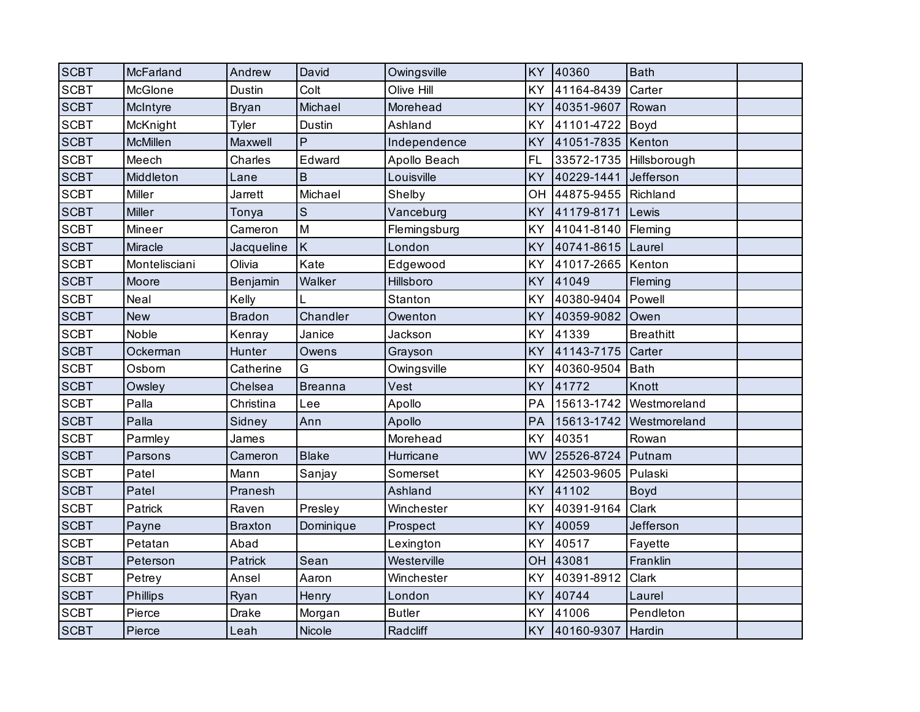| <b>SCBT</b> | McFarland       | Andrew         | David          | Owingsville   | <b>KY</b> | 40360               | <b>Bath</b>      |  |
|-------------|-----------------|----------------|----------------|---------------|-----------|---------------------|------------------|--|
| <b>SCBT</b> | McGlone         | <b>Dustin</b>  | Colt           | Olive Hill    | KY        | 41164-8439          | Carter           |  |
| <b>SCBT</b> | McIntyre        | <b>Bryan</b>   | Michael        | Morehead      | KY        | 40351-9607          | Rowan            |  |
| <b>SCBT</b> | McKnight        | Tyler          | Dustin         | Ashland       | KY        | 41101-4722          | Boyd             |  |
| <b>SCBT</b> | <b>McMillen</b> | Maxwell        | P              | Independence  | KY        | 41051-7835          | Kenton           |  |
| <b>SCBT</b> | Meech           | Charles        | Edward         | Apollo Beach  | <b>FL</b> | 33572-1735          | Hillsborough     |  |
| <b>SCBT</b> | Middleton       | Lane           | B              | Louisville    | KY        | 40229-1441          | Jefferson        |  |
| <b>SCBT</b> | Miller          | Jarrett        | Michael        | Shelby        | OH        | 44875-9455 Richland |                  |  |
| <b>SCBT</b> | <b>Miller</b>   | Tonya          | $\mathbf S$    | Vanceburg     | <b>KY</b> | 41179-8171          | Lewis            |  |
| <b>SCBT</b> | Mineer          | Cameron        | M              | Flemingsburg  | KY        | 41041-8140          | Fleming          |  |
| <b>SCBT</b> | Miracle         | Jacqueline     | $\sf K$        | London        | <b>KY</b> | 40741-8615 Laurel   |                  |  |
| <b>SCBT</b> | Montelisciani   | Olivia         | Kate           | Edgewood      | KY        | 41017-2665 Kenton   |                  |  |
| <b>SCBT</b> | Moore           | Benjamin       | Walker         | Hillsboro     | KY        | 41049               | Fleming          |  |
| <b>SCBT</b> | Neal            | Kelly          |                | Stanton       | KY        | 40380-9404          | Powell           |  |
| <b>SCBT</b> | <b>New</b>      | <b>Bradon</b>  | Chandler       | Owenton       | KY        | 40359-9082          | Owen             |  |
| <b>SCBT</b> | Noble           | Kenray         | Janice         | Jackson       | KY        | 41339               | <b>Breathitt</b> |  |
| <b>SCBT</b> | Ockerman        | Hunter         | Owens          | Grayson       | KY        | 41143-7175          | Carter           |  |
| <b>SCBT</b> | Osborn          | Catherine      | G              | Owingsville   | KY        | 40360-9504          | <b>Bath</b>      |  |
| <b>SCBT</b> | Owsley          | Chelsea        | <b>Breanna</b> | Vest          | KY        | 41772               | Knott            |  |
| <b>SCBT</b> | Palla           | Christina      | Lee            | Apollo        | PA        | 15613-1742          | Westmoreland     |  |
| <b>SCBT</b> | Palla           | Sidney         | Ann            | Apollo        | PA        | 15613-1742          | Westmoreland     |  |
| <b>SCBT</b> | Parmley         | James          |                | Morehead      | KY        | 40351               | Rowan            |  |
| <b>SCBT</b> | Parsons         | Cameron        | <b>Blake</b>   | Hurricane     | WV        | 25526-8724          | Putnam           |  |
| <b>SCBT</b> | Patel           | Mann           | Sanjay         | Somerset      | KY        | 42503-9605          | Pulaski          |  |
| <b>SCBT</b> | Patel           | Pranesh        |                | Ashland       | KY        | 41102               | <b>Boyd</b>      |  |
| <b>SCBT</b> | Patrick         | Raven          | Presley        | Winchester    | KY        | 40391-9164          | Clark            |  |
| <b>SCBT</b> | Payne           | <b>Braxton</b> | Dominique      | Prospect      | KY        | 40059               | Jefferson        |  |
| <b>SCBT</b> | Petatan         | Abad           |                | Lexington     | KY        | 40517               | Fayette          |  |
| <b>SCBT</b> | Peterson        | Patrick        | Sean           | Westerville   | OH        | 43081               | Franklin         |  |
| <b>SCBT</b> | Petrey          | Ansel          | Aaron          | Winchester    | KY        | 40391-8912          | Clark            |  |
| <b>SCBT</b> | <b>Phillips</b> | Ryan           | Henry          | London        | KY        | 40744               | Laurel           |  |
| <b>SCBT</b> | Pierce          | <b>Drake</b>   | Morgan         | <b>Butler</b> | KY        | 41006               | Pendleton        |  |
| <b>SCBT</b> | Pierce          | Leah           | Nicole         | Radcliff      | <b>KY</b> | 40160-9307 Hardin   |                  |  |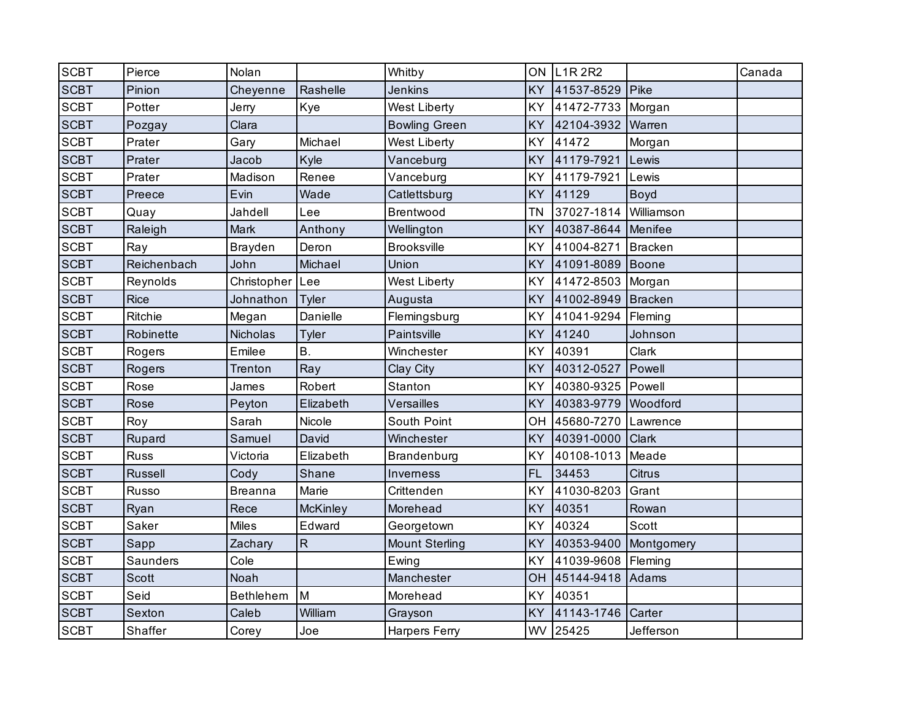| <b>SCBT</b> | Pierce      | Nolan            |           | Whitby                | ON        | <b>L1R2R2</b>     |               | Canada |
|-------------|-------------|------------------|-----------|-----------------------|-----------|-------------------|---------------|--------|
| <b>SCBT</b> | Pinion      | Cheyenne         | Rashelle  | <b>Jenkins</b>        | <b>KY</b> | 41537-8529        | Pike          |        |
| <b>SCBT</b> | Potter      | Jerry            | Kye       | <b>West Liberty</b>   | KY        | 41472-7733        | Morgan        |        |
| <b>SCBT</b> | Pozgay      | Clara            |           | <b>Bowling Green</b>  | KY        | 42104-3932        | Warren        |        |
| <b>SCBT</b> | Prater      | Gary             | Michael   | <b>West Liberty</b>   | KY        | 41472             | Morgan        |        |
| <b>SCBT</b> | Prater      | Jacob            | Kyle      | Vanceburg             | KY        | 41179-7921        | Lewis         |        |
| <b>SCBT</b> | Prater      | Madison          | Renee     | Vanceburg             | KY        | 41179-7921        | Lewis         |        |
| <b>SCBT</b> | Preece      | Evin             | Wade      | Catlettsburg          | <b>KY</b> | 41129             | <b>Boyd</b>   |        |
| <b>SCBT</b> | Quay        | Jahdell          | Lee       | Brentwood             | <b>TN</b> | 37027-1814        | Williamson    |        |
| <b>SCBT</b> | Raleigh     | Mark             | Anthony   | Wellington            | KY        | 40387-8644        | Menifee       |        |
| <b>SCBT</b> | Ray         | <b>Brayden</b>   | Deron     | <b>Brooksville</b>    | KY        | 41004-8271        | Bracken       |        |
| <b>SCBT</b> | Reichenbach | John             | Michael   | Union                 | KY        | 41091-8089        | Boone         |        |
| <b>SCBT</b> | Reynolds    | Christopher      | Lee       | West Liberty          | KY        | 41472-8503 Morgan |               |        |
| <b>SCBT</b> | <b>Rice</b> | Johnathon        | Tyler     | Augusta               | KY        | 41002-8949        | Bracken       |        |
| <b>SCBT</b> | Ritchie     | Megan            | Danielle  | Flemingsburg          | KY        | 41041-9294        | Fleming       |        |
| <b>SCBT</b> | Robinette   | Nicholas         | Tyler     | Paintsville           | KY        | 41240             | Johnson       |        |
| <b>SCBT</b> | Rogers      | Emilee           | <b>B.</b> | Winchester            | KY        | 40391             | Clark         |        |
| <b>SCBT</b> | Rogers      | <b>Trenton</b>   | Ray       | Clay City             | KY        | 40312-0527        | Powell        |        |
| <b>SCBT</b> | Rose        | James            | Robert    | Stanton               | KY        | 40380-9325 Powell |               |        |
| <b>SCBT</b> | Rose        | Peyton           | Elizabeth | Versailles            | KY        | 40383-9779        | Woodford      |        |
| <b>SCBT</b> | Roy         | Sarah            | Nicole    | South Point           | OH        | 45680-7270        | Lawrence      |        |
| <b>SCBT</b> | Rupard      | Samuel           | David     | Winchester            | <b>KY</b> | 40391-0000        | <b>Clark</b>  |        |
| <b>SCBT</b> | <b>Russ</b> | Victoria         | Elizabeth | Brandenburg           | KY        | 40108-1013        | Meade         |        |
| <b>SCBT</b> | Russell     | Cody             | Shane     | Inverness             | <b>FL</b> | 34453             | <b>Citrus</b> |        |
| <b>SCBT</b> | Russo       | <b>Breanna</b>   | Marie     | Crittenden            | KY        | 41030-8203        | Grant         |        |
| <b>SCBT</b> | Ryan        | Rece             | McKinley  | Morehead              | <b>KY</b> | 40351             | Rowan         |        |
| <b>SCBT</b> | Saker       | <b>Miles</b>     | Edward    | Georgetown            | KY        | 40324             | Scott         |        |
| <b>SCBT</b> | Sapp        | Zachary          | ${\sf R}$ | <b>Mount Sterling</b> | KY        | 40353-9400        | Montgomery    |        |
| <b>SCBT</b> | Saunders    | Cole             |           | Ewing                 | KY        | 41039-9608        | Fleming       |        |
| <b>SCBT</b> | Scott       | Noah             |           | Manchester            | OH        | 45144-9418        | Adams         |        |
| <b>SCBT</b> | Seid        | <b>Bethlehem</b> | M         | Morehead              | KY        | 40351             |               |        |
| <b>SCBT</b> | Sexton      | Caleb            | William   | Grayson               | KY        | 41143-1746        | Carter        |        |
| <b>SCBT</b> | Shaffer     | Corey            | Joe       | Harpers Ferry         |           | WV 25425          | Jefferson     |        |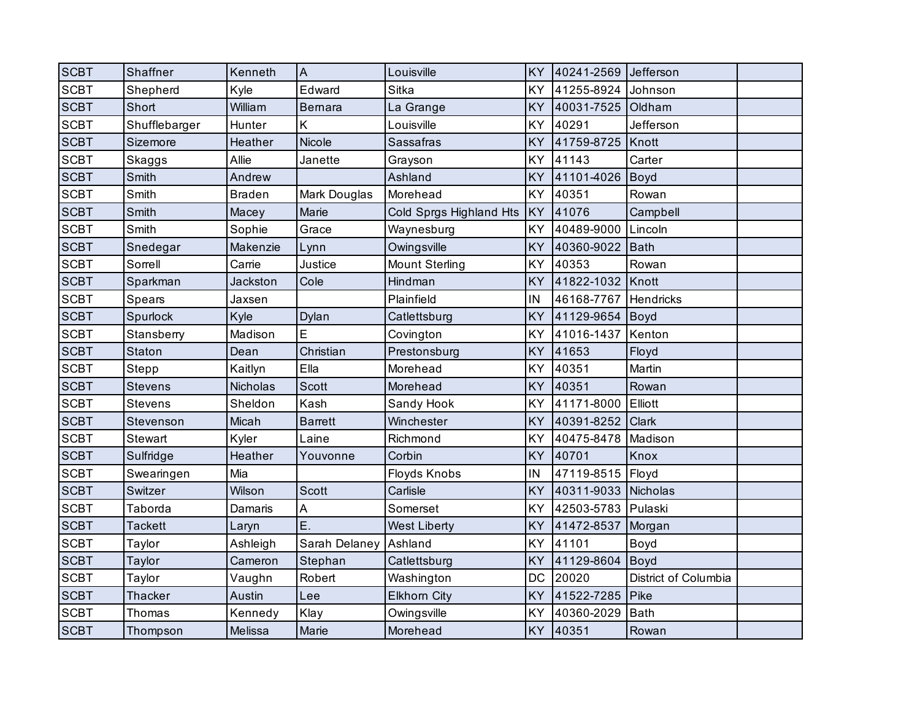| <b>SCBT</b> | Shaffner       | Kenneth       | $\overline{A}$ | Louisville              | KY        | 40241-2569          | Jefferson            |  |
|-------------|----------------|---------------|----------------|-------------------------|-----------|---------------------|----------------------|--|
| <b>SCBT</b> | Shepherd       | Kyle          | Edward         | Sitka                   | KY        | 41255-8924          | Johnson              |  |
| <b>SCBT</b> | Short          | William       | Bernara        | La Grange               | KY        | 40031-7525          | Oldham               |  |
| <b>SCBT</b> | Shufflebarger  | Hunter        | Κ              | Louisville              | KY        | 40291               | Jefferson            |  |
| <b>SCBT</b> | Sizemore       | Heather       | Nicole         | Sassafras               | KY        | 41759-8725          | Knott                |  |
| <b>SCBT</b> | Skaggs         | Allie         | Janette        | Grayson                 | KY        | 41143               | Carter               |  |
| <b>SCBT</b> | Smith          | Andrew        |                | Ashland                 | KY        | 41101-4026          | Boyd                 |  |
| <b>SCBT</b> | Smith          | <b>Braden</b> | Mark Douglas   | Morehead                | KY        | 40351               | Rowan                |  |
| <b>SCBT</b> | Smith          | Macey         | Marie          | Cold Sprgs Highland Hts | KY        | 41076               | Campbell             |  |
| <b>SCBT</b> | Smith          | Sophie        | Grace          | Waynesburg              | KY        | 40489-9000          | Lincoln              |  |
| <b>SCBT</b> | Snedegar       | Makenzie      | Lynn           | Owingsville             | KY        | 40360-9022          | <b>Bath</b>          |  |
| <b>SCBT</b> | Sorrell        | Carrie        | Justice        | <b>Mount Sterling</b>   | KY        | 40353               | Rowan                |  |
| <b>SCBT</b> | Sparkman       | Jackston      | Cole           | Hindman                 | KY        | 41822-1032          | Knott                |  |
| <b>SCBT</b> | Spears         | Jaxsen        |                | Plainfield              | IN        | 46168-7767          | Hendricks            |  |
| <b>SCBT</b> | Spurlock       | Kyle          | Dylan          | Catlettsburg            | KY        | 41129-9654          | Boyd                 |  |
| <b>SCBT</b> | Stansberry     | Madison       | E              | Covington               | KY        | 41016-1437          | Kenton               |  |
| <b>SCBT</b> | Staton         | Dean          | Christian      | Prestonsburg            | KY        | 41653               | Floyd                |  |
| <b>SCBT</b> | Stepp          | Kaitlyn       | Ella           | Morehead                | KY        | 40351               | Martin               |  |
| <b>SCBT</b> | <b>Stevens</b> | Nicholas      | <b>Scott</b>   | Morehead                | KY        | 40351               | Rowan                |  |
| <b>SCBT</b> | <b>Stevens</b> | Sheldon       | Kash           | Sandy Hook              | KΥ        | 41171-8000          | Elliott              |  |
| <b>SCBT</b> | Stevenson      | Micah         | <b>Barrett</b> | Winchester              | KY        | 40391-8252          | Clark                |  |
| <b>SCBT</b> | Stewart        | Kyler         | Laine          | Richmond                | KY        | 40475-8478          | Madison              |  |
| <b>SCBT</b> | Sulfridge      | Heather       | Youvonne       | Corbin                  | KY        | 40701               | Knox                 |  |
| <b>SCBT</b> | Swearingen     | Mia           |                | Floyds Knobs            | IN        | 47119-8515          | Floyd                |  |
| <b>SCBT</b> | Switzer        | Wilson        | <b>Scott</b>   | Carlisle                | KY        | 40311-9033 Nicholas |                      |  |
| <b>SCBT</b> | Taborda        | Damaris       | A              | Somerset                | KY        | 42503-5783 Pulaski  |                      |  |
| <b>SCBT</b> | <b>Tackett</b> | Laryn         | Ε.             | <b>West Liberty</b>     | KY        | 41472-8537          | Morgan               |  |
| <b>SCBT</b> | Taylor         | Ashleigh      | Sarah Delaney  | Ashland                 | KY        | 41101               | Boyd                 |  |
| <b>SCBT</b> | Taylor         | Cameron       | Stephan        | Catlettsburg            | KY        | 41129-8604          | <b>Boyd</b>          |  |
| <b>SCBT</b> | Taylor         | Vaughn        | Robert         | Washington              | <b>DC</b> | 20020               | District of Columbia |  |
| <b>SCBT</b> | Thacker        | Austin        | Lee            | <b>Elkhorn City</b>     | KY        | 41522-7285          | Pike                 |  |
| <b>SCBT</b> | Thomas         | Kennedy       | Klay           | Owingsville             | KY        | 40360-2029          | <b>Bath</b>          |  |
| <b>SCBT</b> | Thompson       | Melissa       | Marie          | Morehead                | <b>KY</b> | 40351               | Rowan                |  |